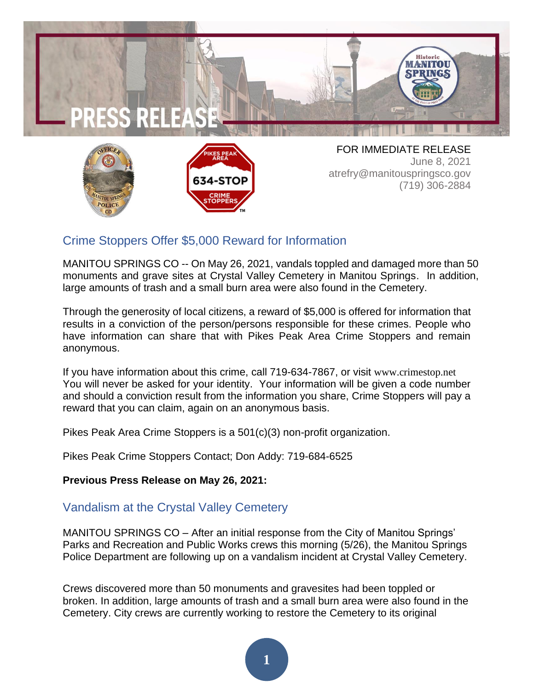



**POLICE** 

atrefry@manitouspringsco.gov (719) 306-2884

## Crime Stoppers Offer \$5,000 Reward for Information

MANITOU SPRINGS CO -- On May 26, 2021, vandals toppled and damaged more than 50 monuments and grave sites at Crystal Valley Cemetery in Manitou Springs. In addition, large amounts of trash and a small burn area were also found in the Cemetery.

Through the generosity of local citizens, a reward of \$5,000 is offered for information that results in a conviction of the person/persons responsible for these crimes. People who have information can share that with Pikes Peak Area Crime Stoppers and remain anonymous.

If you have information about this crime, call 719-634-7867, or visit [www.crimestop.net](http://www.crimestop.net/) You will never be asked for your identity. Your information will be given a code number and should a conviction result from the information you share, Crime Stoppers will pay a reward that you can claim, again on an anonymous basis.

Pikes Peak Area Crime Stoppers is a 501(c)(3) non-profit organization.

Pikes Peak Crime Stoppers Contact; Don Addy: 719-684-6525

## **Previous Press Release on May 26, 2021:**

## Vandalism at the Crystal Valley Cemetery

MANITOU SPRINGS CO – After an initial response from the City of Manitou Springs' Parks and Recreation and Public Works crews this morning (5/26), the Manitou Springs Police Department are following up on a vandalism incident at Crystal Valley Cemetery.

Crews discovered more than 50 monuments and gravesites had been toppled or broken. In addition, large amounts of trash and a small burn area were also found in the Cemetery. City crews are currently working to restore the Cemetery to its original